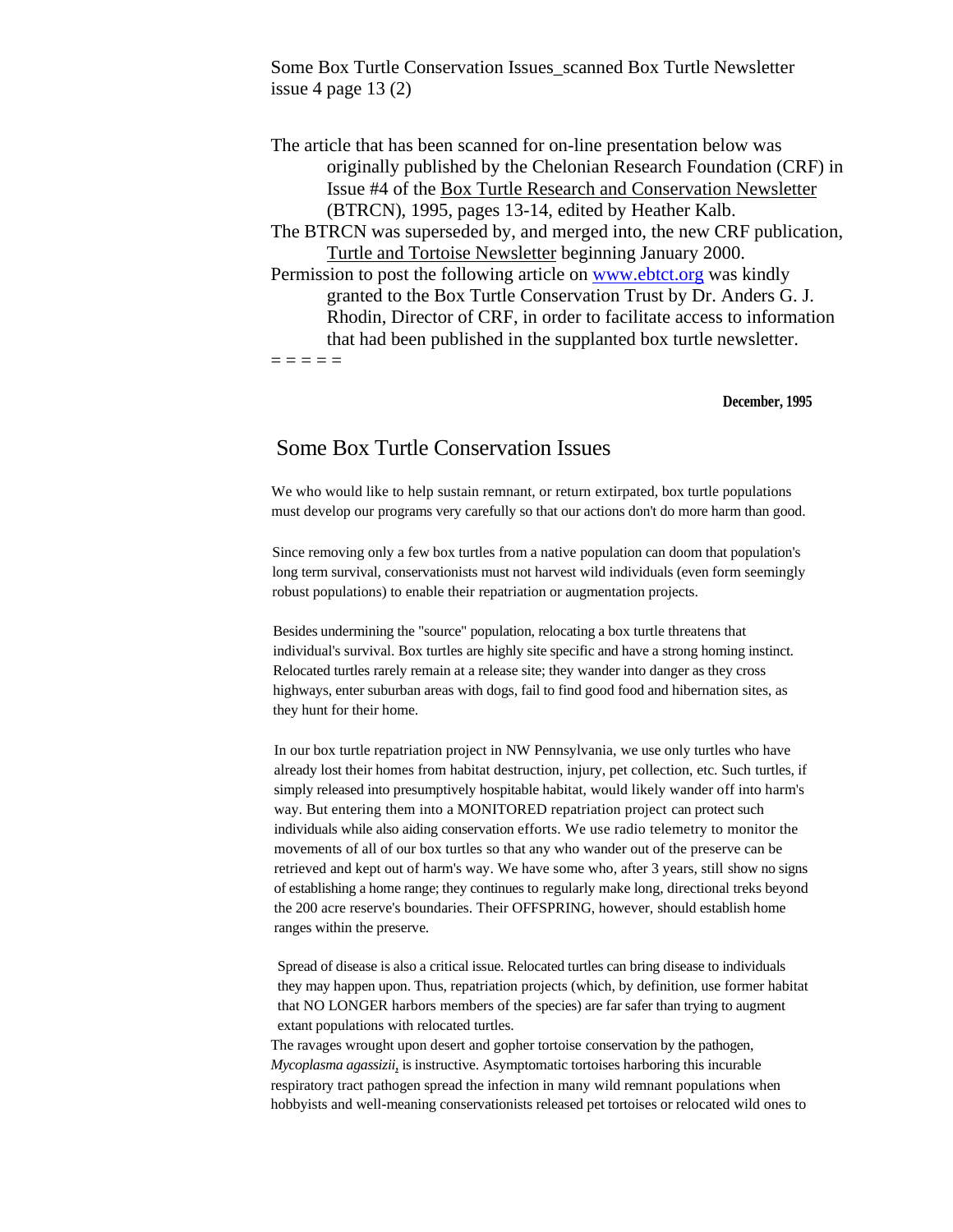Some Box Turtle Conservation Issues\_scanned Box Turtle Newsletter issue 4 page  $13(2)$ 

The article that has been scanned for on-line presentation below was originally published by the Chelonian Research Foundation (CRF) in Issue #4 of the Box Turtle Research and Conservation Newsletter (BTRCN), 1995, pages 13-14, edited by Heather Kalb. The BTRCN was superseded by, and merged into, the new CRF publication, Turtle and Tortoise Newsletter beginning January 2000. Permission to post the following article on [www.ebtct.org](http://www.ebtct.org/) was kindly granted to the Box Turtle Conservation Trust by Dr. Anders G. J. Rhodin, Director of CRF, in order to facilitate access to information that had been published in the supplanted box turtle newsletter.  $=$   $=$   $=$   $=$ 

#### **December, 1995**

# Some Box Turtle Conservation Issues

We who would like to help sustain remnant, or return extirpated, box turtle populations must develop our programs very carefully so that our actions don't do more harm than good.

Since removing only a few box turtles from a native population can doom that population's long term survival, conservationists must not harvest wild individuals (even form seemingly robust populations) to enable their repatriation or augmentation projects.

Besides undermining the "source" population, relocating a box turtle threatens that individual's survival. Box turtles are highly site specific and have a strong homing instinct. Relocated turtles rarely remain at a release site; they wander into danger as they cross highways, enter suburban areas with dogs, fail to find good food and hibernation sites, as they hunt for their home.

In our box turtle repatriation project in NW Pennsylvania, we use only turtles who have already lost their homes from habitat destruction, injury, pet collection, etc. Such turtles, if simply released into presumptively hospitable habitat, would likely wander off into harm's way. But entering them into a MONITORED repatriation project can protect such individuals while also aiding conservation efforts. We use radio telemetry to monitor the movements of all of our box turtles so that any who wander out of the preserve can be retrieved and kept out of harm's way. We have some who, after 3 years, still show no signs of establishing a home range; they continues to regularly make long, directional treks beyond the 200 acre reserve's boundaries. Their OFFSPRING, however, should establish home ranges within the preserve.

Spread of disease is also a critical issue. Relocated turtles can bring disease to individuals they may happen upon. Thus, repatriation projects (which, by definition, use former habitat that NO LONGER harbors members of the species) are far safer than trying to augment extant populations with relocated turtles.

The ravages wrought upon desert and gopher tortoise conservation by the pathogen, *Mycoplasma agassizii*, is instructive. Asymptomatic tortoises harboring this incurable respiratory tract pathogen spread the infection in many wild remnant populations when hobbyists and well-meaning conservationists released pet tortoises or relocated wild ones to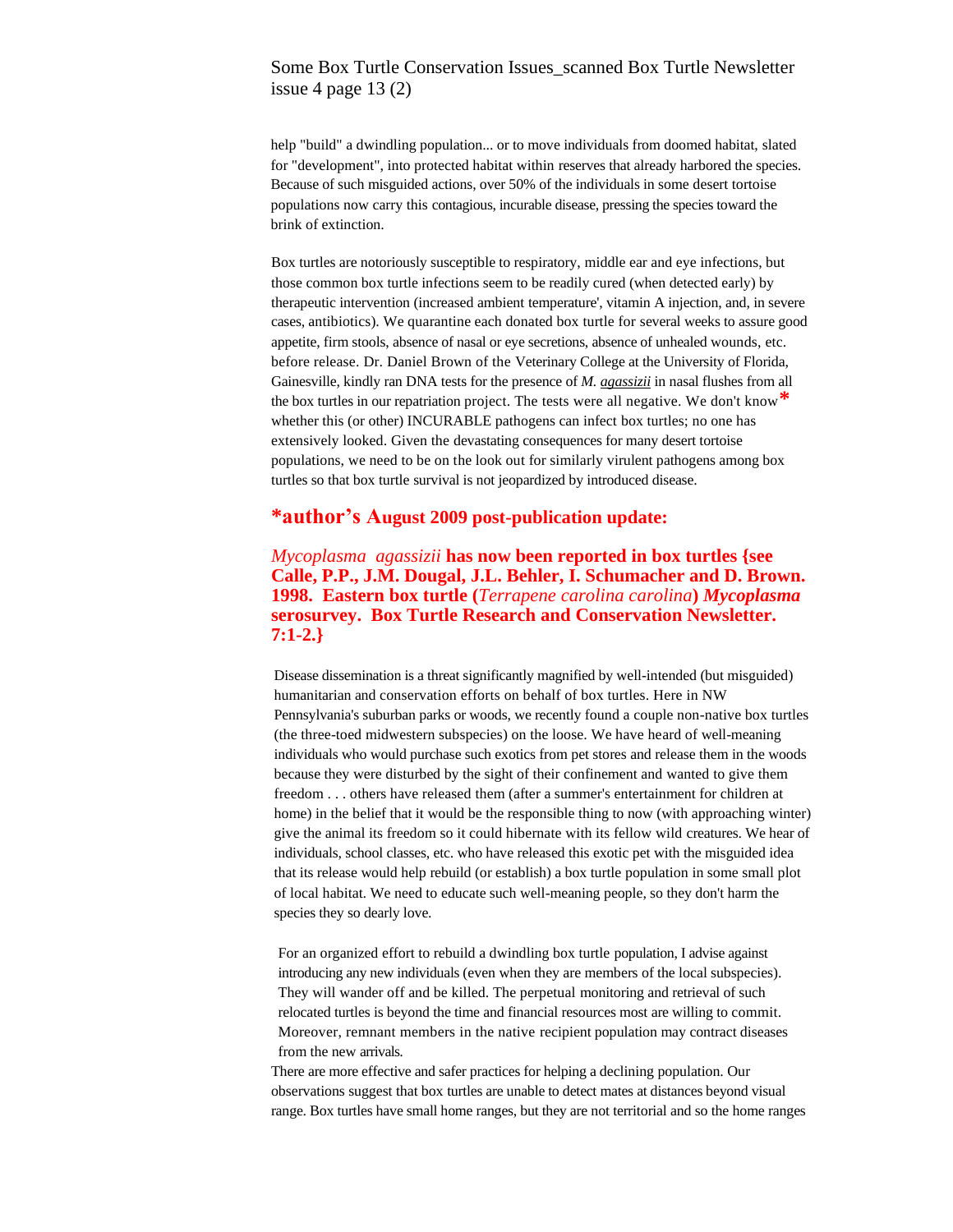## Some Box Turtle Conservation Issues\_scanned Box Turtle Newsletter issue 4 page  $13(2)$

help "build" a dwindling population... or to move individuals from doomed habitat, slated for "development", into protected habitat within reserves that already harbored the species. Because of such misguided actions, over 50% of the individuals in some desert tortoise populations now carry this contagious, incurable disease, pressing the species toward the brink of extinction.

Box turtles are notoriously susceptible to respiratory, middle ear and eye infections, but those common box turtle infections seem to be readily cured (when detected early) by therapeutic intervention (increased ambient temperature', vitamin A injection, and, in severe cases, antibiotics). We quarantine each donated box turtle for several weeks to assure good appetite, firm stools, absence of nasal or eye secretions, absence of unhealed wounds, etc. before release. Dr. Daniel Brown of the Veterinary College at the University of Florida, Gainesville, kindly ran DNA tests for the presence of *M. agassizii* in nasal flushes from all the box turtles in our repatriation project. The tests were all negative. We don't know**\*** whether this (or other) INCURABLE pathogens can infect box turtles; no one has extensively looked. Given the devastating consequences for many desert tortoise populations, we need to be on the look out for similarly virulent pathogens among box turtles so that box turtle survival is not jeopardized by introduced disease.

#### **\*author's August 2009 post-publication update:**

*Mycoplasma agassizii* **has now been reported in box turtles {see Calle, P.P., J.M. Dougal, J.L. Behler, I. Schumacher and D. Brown. 1998. Eastern box turtle (***Terrapene carolina carolina***)** *Mycoplasma* **serosurvey. Box Turtle Research and Conservation Newsletter. 7:1-2.}**

Disease dissemination is a threat significantly magnified by well-intended (but misguided) humanitarian and conservation efforts on behalf of box turtles. Here in NW Pennsylvania's suburban parks or woods, we recently found a couple non-native box turtles (the three-toed midwestern subspecies) on the loose. We have heard of well-meaning individuals who would purchase such exotics from pet stores and release them in the woods because they were disturbed by the sight of their confinement and wanted to give them freedom . . . others have released them (after a summer's entertainment for children at home) in the belief that it would be the responsible thing to now (with approaching winter) give the animal its freedom so it could hibernate with its fellow wild creatures. We hear of individuals, school classes, etc. who have released this exotic pet with the misguided idea that its release would help rebuild (or establish) a box turtle population in some small plot of local habitat. We need to educate such well-meaning people, so they don't harm the species they so dearly love.

For an organized effort to rebuild a dwindling box turtle population, I advise against introducing any new individuals (even when they are members of the local subspecies). They will wander off and be killed. The perpetual monitoring and retrieval of such relocated turtles is beyond the time and financial resources most are willing to commit. Moreover, remnant members in the native recipient population may contract diseases from the new arrivals.

There are more effective and safer practices for helping a declining population. Our observations suggest that box turtles are unable to detect mates at distances beyond visual range. Box turtles have small home ranges, but they are not territorial and so the home ranges